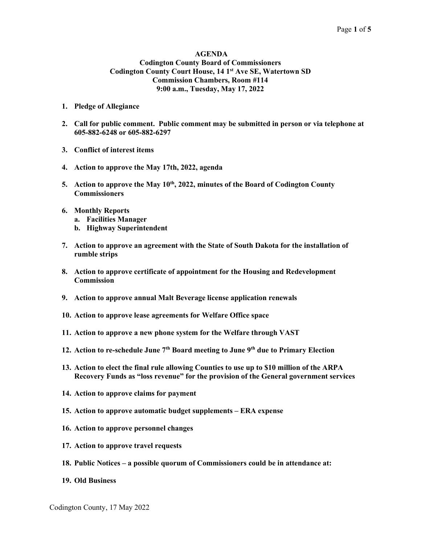#### AGENDA Codington County Board of Commissioners Codington County Court House, 14 1<sup>st</sup> Ave SE, Watertown SD Commission Chambers, Room #114 9:00 a.m., Tuesday, May 17, 2022

- 1. Pledge of Allegiance
- 2. Call for public comment. Public comment may be submitted in person or via telephone at 605-882-6248 or 605-882-6297
- 3. Conflict of interest items
- 4. Action to approve the May 17th, 2022, agenda
- 5. Action to approve the May  $10^{th}$ , 2022, minutes of the Board of Codington County **Commissioners**
- 6. Monthly Reports
	- a. Facilities Manager
	- b. Highway Superintendent
- 7. Action to approve an agreement with the State of South Dakota for the installation of rumble strips
- 8. Action to approve certificate of appointment for the Housing and Redevelopment Commission
- 9. Action to approve annual Malt Beverage license application renewals
- 10. Action to approve lease agreements for Welfare Office space
- 11. Action to approve a new phone system for the Welfare through VAST
- 12. Action to re-schedule June  $7<sup>th</sup>$  Board meeting to June  $9<sup>th</sup>$  due to Primary Election
- 13. Action to elect the final rule allowing Counties to use up to \$10 million of the ARPA Recovery Funds as "loss revenue" for the provision of the General government services
- 14. Action to approve claims for payment
- 15. Action to approve automatic budget supplements ERA expense
- 16. Action to approve personnel changes
- 17. Action to approve travel requests
- 18. Public Notices a possible quorum of Commissioners could be in attendance at:
- 19. Old Business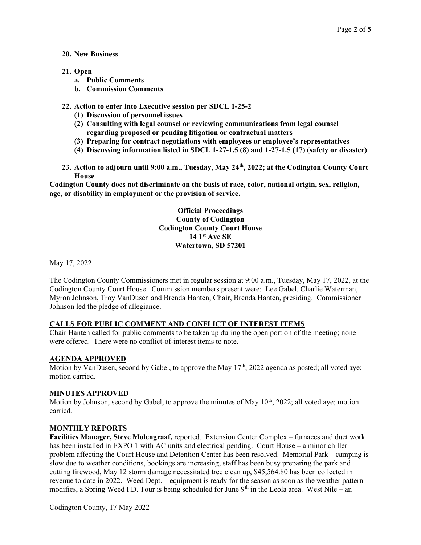#### 20. New Business

- 21. Open
	- a. Public Comments
	- b. Commission Comments
- 22. Action to enter into Executive session per SDCL 1-25-2
	- (1) Discussion of personnel issues
	- (2) Consulting with legal counsel or reviewing communications from legal counsel regarding proposed or pending litigation or contractual matters
	- (3) Preparing for contract negotiations with employees or employee's representatives
	- (4) Discussing information listed in SDCL 1-27-1.5 (8) and 1-27-1.5 (17) (safety or disaster)
- 23. Action to adjourn until 9:00 a.m., Tuesday, May 24<sup>th</sup>, 2022; at the Codington County Court **House**

Codington County does not discriminate on the basis of race, color, national origin, sex, religion, age, or disability in employment or the provision of service.

> Official Proceedings County of Codington Codington County Court House 14 1st Ave SE Watertown, SD 57201

May 17, 2022

The Codington County Commissioners met in regular session at 9:00 a.m., Tuesday, May 17, 2022, at the Codington County Court House. Commission members present were: Lee Gabel, Charlie Waterman, Myron Johnson, Troy VanDusen and Brenda Hanten; Chair, Brenda Hanten, presiding. Commissioner Johnson led the pledge of allegiance.

## CALLS FOR PUBLIC COMMENT AND CONFLICT OF INTEREST ITEMS

Chair Hanten called for public comments to be taken up during the open portion of the meeting; none were offered. There were no conflict-of-interest items to note.

#### AGENDA APPROVED

Motion by VanDusen, second by Gabel, to approve the May  $17<sup>th</sup>$ , 2022 agenda as posted; all voted aye; motion carried.

#### MINUTES APPROVED

Motion by Johnson, second by Gabel, to approve the minutes of May  $10<sup>th</sup>$ , 2022; all voted aye; motion carried.

#### MONTHLY REPORTS

Facilities Manager, Steve Molengraaf, reported. Extension Center Complex – furnaces and duct work has been installed in EXPO 1 with AC units and electrical pending. Court House – a minor chiller problem affecting the Court House and Detention Center has been resolved. Memorial Park – camping is slow due to weather conditions, bookings are increasing, staff has been busy preparing the park and cutting firewood, May 12 storm damage necessitated tree clean up, \$45,564.80 has been collected in revenue to date in 2022. Weed Dept. – equipment is ready for the season as soon as the weather pattern modifies, a Spring Weed I.D. Tour is being scheduled for June  $9<sup>th</sup>$  in the Leola area. West Nile – an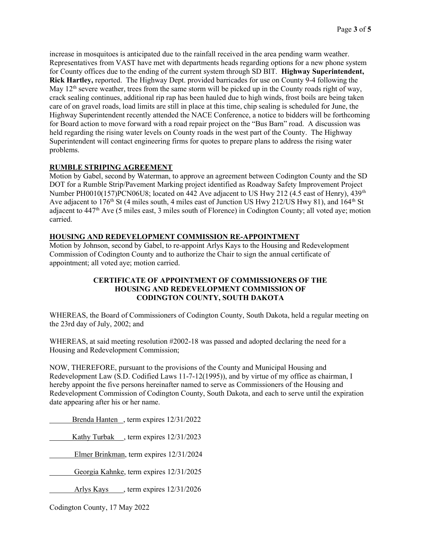increase in mosquitoes is anticipated due to the rainfall received in the area pending warm weather. Representatives from VAST have met with departments heads regarding options for a new phone system for County offices due to the ending of the current system through SD BIT. Highway Superintendent, Rick Hartley, reported. The Highway Dept. provided barricades for use on County 9-4 following the May  $12<sup>th</sup>$  severe weather, trees from the same storm will be picked up in the County roads right of way, crack sealing continues, additional rip rap has been hauled due to high winds, frost boils are being taken care of on gravel roads, load limits are still in place at this time, chip sealing is scheduled for June, the Highway Superintendent recently attended the NACE Conference, a notice to bidders will be forthcoming for Board action to move forward with a road repair project on the "Bus Barn" road. A discussion was held regarding the rising water levels on County roads in the west part of the County. The Highway Superintendent will contact engineering firms for quotes to prepare plans to address the rising water problems.

## RUMBLE STRIPING AGREEMENT

Motion by Gabel, second by Waterman, to approve an agreement between Codington County and the SD DOT for a Rumble Strip/Pavement Marking project identified as Roadway Safety Improvement Project Number PH0010(157)PCN06U8; located on 442 Ave adjacent to US Hwy 212 (4.5 east of Henry), 439<sup>th</sup> Ave adjacent to 176<sup>th</sup> St (4 miles south, 4 miles east of Junction US Hwy 212/US Hwy 81), and 164<sup>th</sup> St adjacent to 447th Ave (5 miles east, 3 miles south of Florence) in Codington County; all voted aye; motion carried.

## HOUSING AND REDEVELOPMENT COMMISSION RE-APPOINTMENT

Motion by Johnson, second by Gabel, to re-appoint Arlys Kays to the Housing and Redevelopment Commission of Codington County and to authorize the Chair to sign the annual certificate of appointment; all voted aye; motion carried.

## CERTIFICATE OF APPOINTMENT OF COMMISSIONERS OF THE HOUSING AND REDEVELOPMENT COMMISSION OF CODINGTON COUNTY, SOUTH DAKOTA

WHEREAS, the Board of Commissioners of Codington County, South Dakota, held a regular meeting on the 23rd day of July, 2002; and

WHEREAS, at said meeting resolution #2002-18 was passed and adopted declaring the need for a Housing and Redevelopment Commission;

NOW, THEREFORE, pursuant to the provisions of the County and Municipal Housing and Redevelopment Law (S.D. Codified Laws 11-7-12(1995)), and by virtue of my office as chairman, I hereby appoint the five persons hereinafter named to serve as Commissioners of the Housing and Redevelopment Commission of Codington County, South Dakota, and each to serve until the expiration date appearing after his or her name.

Brenda Hanten , term expires 12/31/2022

Kathy Turbak , term expires 12/31/2023

Elmer Brinkman, term expires 12/31/2024

Georgia Kahnke, term expires 12/31/2025

Arlys Kays , term expires  $12/31/2026$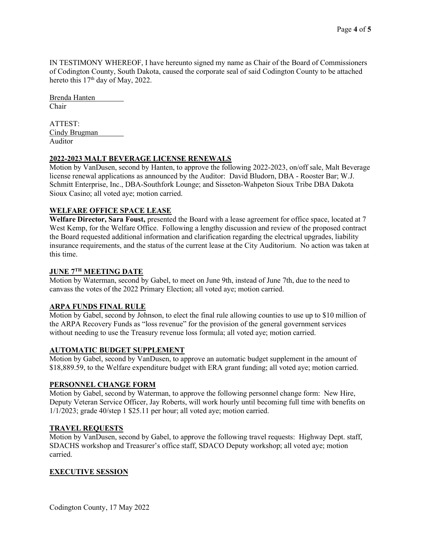IN TESTIMONY WHEREOF, I have hereunto signed my name as Chair of the Board of Commissioners of Codington County, South Dakota, caused the corporate seal of said Codington County to be attached hereto this 17<sup>th</sup> day of May, 2022.

Brenda Hanten Chair

ATTEST: Cindy Brugman Auditor

## 2022-2023 MALT BEVERAGE LICENSE RENEWALS

Motion by VanDusen, second by Hanten, to approve the following 2022-2023, on/off sale, Malt Beverage license renewal applications as announced by the Auditor: David Bludorn, DBA - Rooster Bar; W.J. Schmitt Enterprise, Inc., DBA-Southfork Lounge; and Sisseton-Wahpeton Sioux Tribe DBA Dakota Sioux Casino; all voted aye; motion carried.

## WELFARE OFFICE SPACE LEASE

Welfare Director, Sara Foust, presented the Board with a lease agreement for office space, located at 7 West Kemp, for the Welfare Office. Following a lengthy discussion and review of the proposed contract the Board requested additional information and clarification regarding the electrical upgrades, liability insurance requirements, and the status of the current lease at the City Auditorium. No action was taken at this time.

## JUNE 7TH MEETING DATE

Motion by Waterman, second by Gabel, to meet on June 9th, instead of June 7th, due to the need to canvass the votes of the 2022 Primary Election; all voted aye; motion carried.

# ARPA FUNDS FINAL RULE

Motion by Gabel, second by Johnson, to elect the final rule allowing counties to use up to \$10 million of the ARPA Recovery Funds as "loss revenue" for the provision of the general government services without needing to use the Treasury revenue loss formula; all voted aye; motion carried.

## AUTOMATIC BUDGET SUPPLEMENT

Motion by Gabel, second by VanDusen, to approve an automatic budget supplement in the amount of \$18,889.59, to the Welfare expenditure budget with ERA grant funding; all voted aye; motion carried.

## PERSONNEL CHANGE FORM

Motion by Gabel, second by Waterman, to approve the following personnel change form: New Hire, Deputy Veteran Service Officer, Jay Roberts, will work hourly until becoming full time with benefits on 1/1/2023; grade 40/step 1 \$25.11 per hour; all voted aye; motion carried.

## TRAVEL REQUESTS

Motion by VanDusen, second by Gabel, to approve the following travel requests: Highway Dept. staff, SDACHS workshop and Treasurer's office staff, SDACO Deputy workshop; all voted aye; motion carried.

# EXECUTIVE SESSION